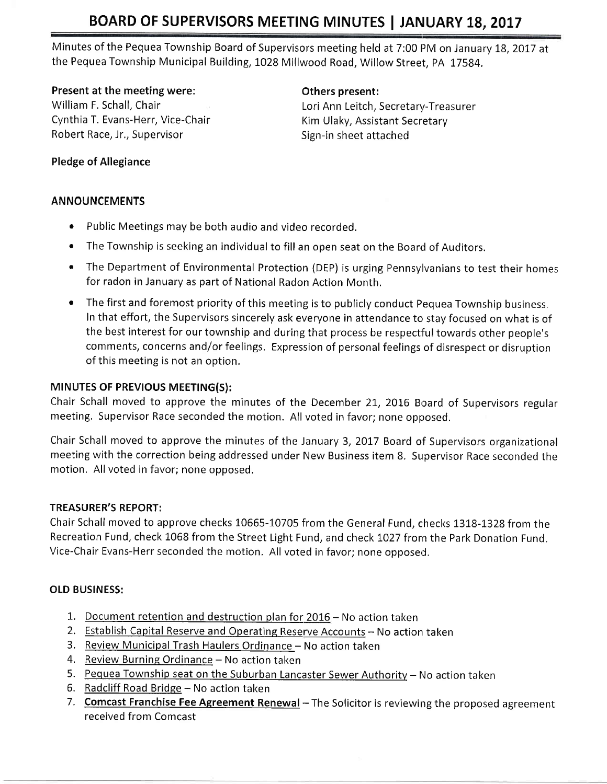# BOARD OF SUPERVISORS MEETING MINUTES | JANUARY 18, 2017

Minutes of the Pequea Township Board of Supervisors meeting held at 7:00 PM on January 18, 2017 at the Pequea Township Municipal Building, 1028 Millwood Road, Willow Street, PA 17584.

#### Present at the meeting were: The meeting others present:

Cynthia T. Evans-Herr, Vice-Chair Kim Ulaky, Assistant Secretary Robert Race, Jr., Supervisor Sign-in sheet attached

William F. Schall, Chair Lori Ann Leitch, Secretary-Treasurer

## Pledge of Allegiance

## ANNOUNCEMENTS

- $\bullet$  Public Meetings may be both audio and video recorded.
- The Township is seeking an individual to fill an open seat on the Board of Auditors.
- . The Department of Environmental Protection (DEP) is urging Pennsylvanians to test their homes for radon in January as part of National Radon Action Month.
- The first and foremost priority of this meeting is to publicly conduct Pequea Township business. In that effort, the Supervisors sincerely ask everyone in attendance to stay focused on what is of the best interest for our township and during that process be respectful towards other people's comments, concerns and/or feelings. Expression of personal feelings of disrespect or disruption of this meeting is not an option.

## MINUTES OF PREVIOUS MEETING(S):

Chair Schall moved to approve the minutes of the December 21, 2016 Board of Supervisors regular meeting, Supervisor Race seconded the motion. All voted in favor; none opposed.

Chair Schall moved to approve the minutes of the January 3, 2017 Board of Supervisors organizational meeting with the correction being addressed under New Business item 8. Supervisor Race seconded the motion. All voted in favor; none opposed.

### TREASURER'S REPORT:

Chair Schall moved to approve checks 10665-10705 from the General Fund, checks 1318-1328 from the Recreation Fund, check 1068 from the Street Light Fund, and check 1027 from the Park Donation Fund. Vice-chair Evans-Herr seconded the motion, All voted in favor; none opposed.

# OLD BUSINESS:

- 1. Document retention and destruction plan for  $2016 -$  No action taken
- 2. Establish Capital Reserve and Operating Reserve Accounts No action taken
- 3. Review Municipal Trash Haulers Ordinance No action taken
- 4. Review Burning Ordinance No action taken
- 5. Pequea Township seat on the Suburban Lancaster Sewer Authority No action taken
- 6. Radcliff Road Bridge  $-$  No action taken
- 7. Comcast Franchise Fee Agreement Renewal The Solicitor is reviewing the proposed agreement received from Comcast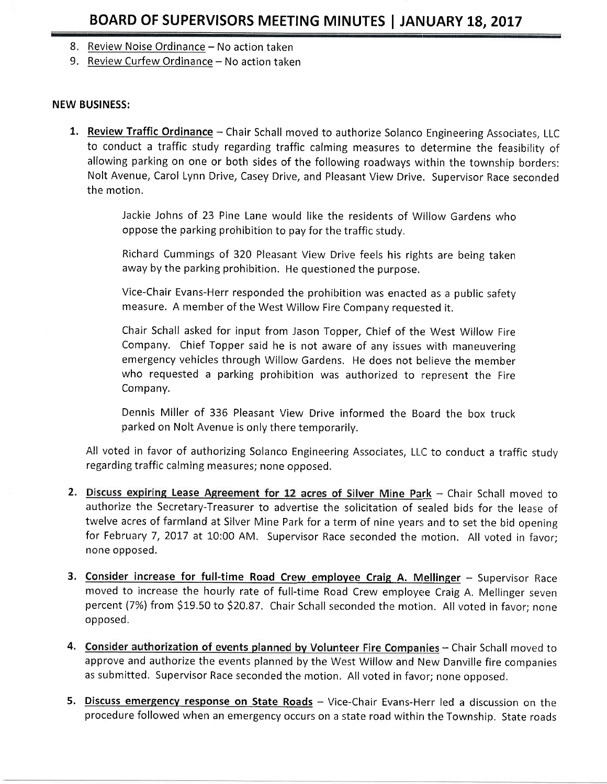- 8. <u>Review Noise Ordinance</u> No action taken
- 9. <u>Review Curfew Ordinance</u> No action taken

#### NEW BUSINESS:

1. Review Traffic Ordinance - Chair Schall moved to authorize Solanco Engineering Associates, LLC to conduct a traffic study regarding traffic calming measures to determine the feasibility of allowing parking on one or both sides of the following roadways within the township borders: Nolt Avenue, Carol Lynn Drive, Casey Drive, and Pleasant View Drive. Supervisor Race seconded the motion.

> Jackie Johns of 23 Pine Lane would like the residents of Willow Gardens who oppose the parking prohibition to pay for the traffic study,

> Richard Cummings of 320 Pleasant View Drive feels his rights are being taken away by the parking prohibition. He questioned the purpose.

> Vice-Chair Evans-Herr responded the prohibition was enacted as a public safety measure. A member of the West Wiliow Fire Company requested it.

> Chair Schall asked for input from Jason Topper, Chief of the West Willow Fire Company. Chief Topper said he is not aware of any issues with maneuvering emergency vehicles through Willow Gardens, He does not believe the member who requested a parking prohibition was authorized to represent the Fire Company.

> Dennis Miller of 336 Pleasant View Drive informed the Board the box truck parked on Nolt Avenue is only there temporarily,

All voted in favor of authorizing Solanco Engineering Associates, LLC to conduct a traffic study regarding traffic calming measures; none opposed,

- 2. Discuss expiring Lease Agreement for 12 acres of Silver Mine Park Chair Schall moved to authorize the Secretary-Treasurer to advertise the solicitation of sealed bids for the lease of twelve acres of farmland at Silver Mine Park for a term of nine years and to set the bid opening for February 7, 2017 at 10:00 AM. Supervisor Race seconded the motion. All voted in favor; none opposed.
- 3. Consider increase for full-time Road Crew employee Craig A. Mellinger Supervisor Race moved to increase the hourly rate of full-time Road Crew employee Craig A. Mellinger seven percent (7%) from \$19.50 to \$20.87. Chair Schall seconded the motion. All voted in favor; none opposed,
- 4. Consider authorization of events planned by Volunteer Fire Companies Chair Schall moved to approve and authorize the events planned by the West Willow and New Danville fire companies as submitted, Supervisor Race seconded the motion. All voted in favor; none opposed.
- 5. Discuss emergency response on State Roads Vice-Chair Evans-Herr led a discussion on the procedure followed when an emergency occurs on a state road within the Township. State roads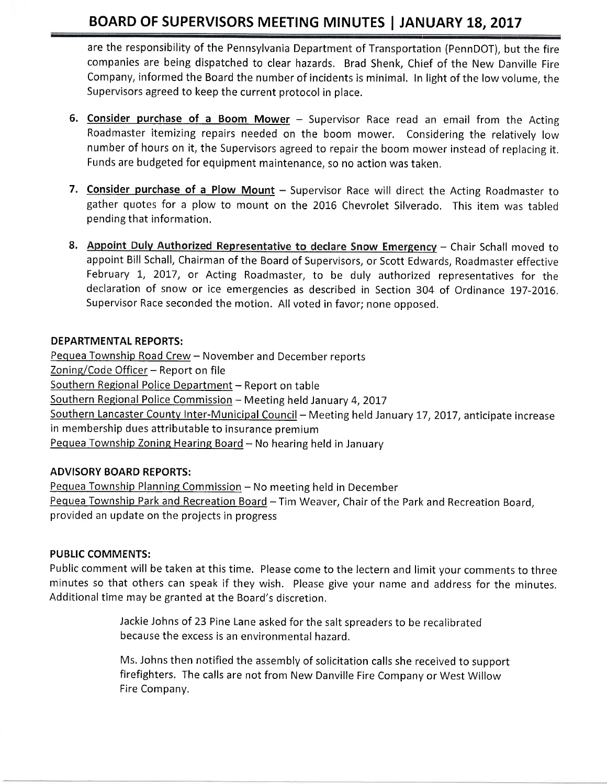# BOARD OF SUPERVISORS MEETING MINUTES | JANUARY 18, 2017

are the responsibility of the Pennsylvania Department of Transportation (PennDOT), but the fire companies are being dispatched to clear hazards. Brad Shenk, Chief of the New Danville Fire Company, informed the Board the numberof incidents is minimal. In light of the lowvolume, the Supervisors agreed to keep the current protocol in place.

- 6. Consider purchase of a Boom Mower  $-$  Supervisor Race read an email from the Acting Roadmaster itemizing repairs needed on the boom mower, Considering the relatively low number of hours on it, the Supervisors agreed to repair the boom mower instead of replacing it, Funds are budgeted for equipment maintenance, so no action was taken,
- 7. Consider purchase of a Plow Mount Supervisor Race will direct the Acting Roadmaster to gather quotes for a plow to mount on the 2016 Chevrolet Silverado. This item was tabled pending that information.
- 8. Appoint Duly Authorized Representative to declare Snow Emergency Chair Schall moved to appoint Bill Schall, Chairman of the Board of Supervisors, or Scott Edwards, Roadmaster effective February 1, 2017, or Acting Roadmaster, to be duly authorized representatives for the declaration of snow or ice emergencies as described in Section 304 of Ordinance 197-2016. Supervisor Race seconded the motion. All voted in favor; none opposed.

### DEPARTMENTAL REPORTS:

Pequea Township Road Crew - November and December reports Zoning/Code Officer - Report on file Southern Regional Police Department - Report on table Southern Regional Police Commission - Meeting held January 4, 2017 Southern Lancaster County Inter-Municipal Council - Meeting held January 17, 2017, anticipate increase in membership dues attributable to insurance premium Pequea Township Zoning Hearing Board  $-$  No hearing held in January

#### ADVISORY BOARD REPORTS:

Pequea Township Planning Commission - No meeting held in December Pequea Township Park and Recreation Board - Tim Weaver, Chair of the Park and Recreation Board, provided an update on the projects in progress

#### PUBLIC COMMENTS:

Public comment will be taken at this time. Please come to the lectern and limit your comments to three minutes so that others can speak if they wish. Please give your name and address for the minutes. Additional time may be granted at the Board's discretion.

> Jackie Johns of 23 Pine Lane asked for the salt spreaders to be recalibrated because the excess is an environmental hazard,

Ms. Johns then notified the assembly of solicitation calls she received to support firefighters. The calls are not from New Danville Fire Company or West Willow Fire Company.